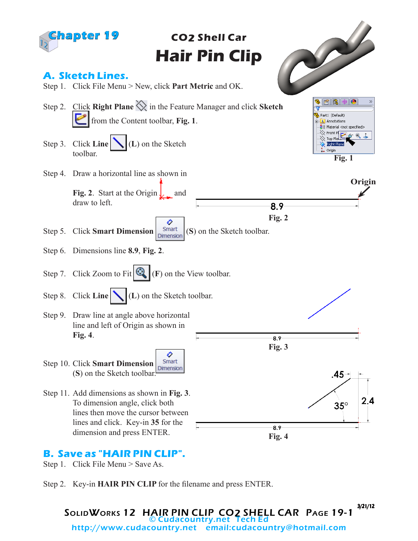

### **B. Save as "HAIR PIN CLIP".**

Step 1. Click File Menu > Save As.

Step 2. Key-in **HAIR PIN CLIP** for the filename and press ENTER.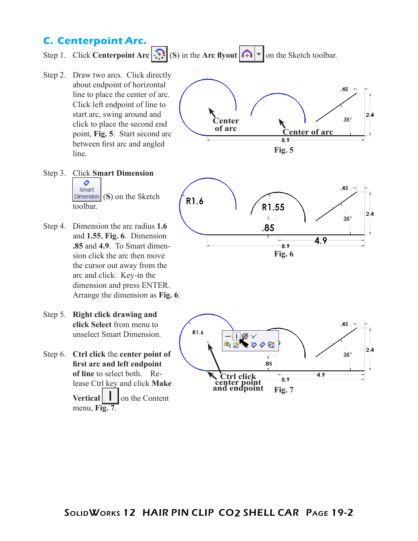## **C. Centerpoint Arc.**

Step 1. Click **Centerpoint Arc**  $\left|\sum_{i=1}^{n}S_i\right|$  (S) in the **Arc** flyout  $\left|\sum_{i=1}^{n}r\right|$  on the Sketch toolbar.

- Step 2. Draw two arcs. Click directly about endpoint of horizontal line to place the center of arc. Click left endpoint of line to start arc, swing around and click to place the second end point, **Fig. 5**. Start second arc between first arc and angled line.
- Step 3. Click **Smart Dimension**  ♦ Smart (**S**) on the Sketch toolbar.
- Step 4. Dimension the arc radius **1.6** and **1.55**, **Fig. 6**. Dimension **.85** and **4.9**. To Smart dimension click the arc then move the cursor out away from the arc and click. Key-in the dimension and press ENTER. Arrange the dimension as **Fig. 6**.
- Step 5. **Right click drawing and click Select** from menu to unselect Smart Dimension.
- Step 6. **Ctrl click** the **center point of first arc and left endpoint of line** to select both. Release Ctrl key and click **Make Vertical l** on the Content menu, **Fig. 7**.





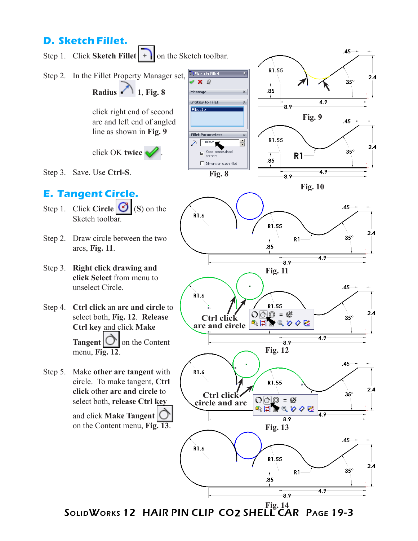# **D. Sketch Fillet.**



SOLIDWORKS 12 HAIR PIN CLIP CO2 SHELL CAR PAGE 19-3 **Fig. 14**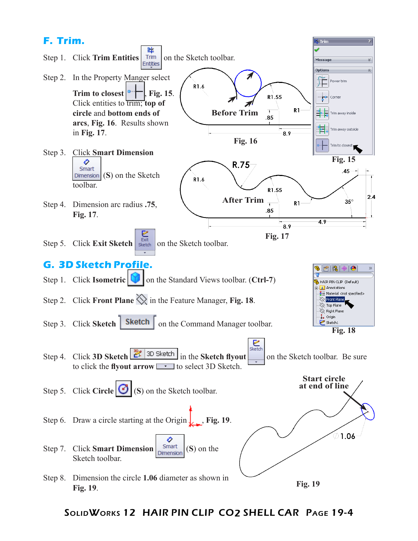

### SolidWorks 12 HAIR PIN CLIP CO2 SHELL CAR Page 19-4